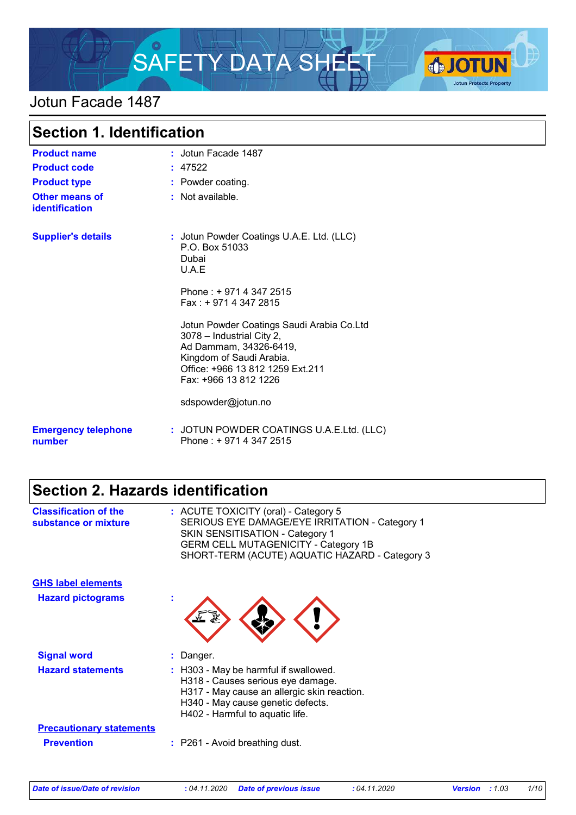

### Jotun Facade 1487

| <b>Section 1. Identification</b>     |                                                                                                                                                                                           |
|--------------------------------------|-------------------------------------------------------------------------------------------------------------------------------------------------------------------------------------------|
| <b>Product name</b>                  | : Jotun Facade 1487                                                                                                                                                                       |
| <b>Product code</b>                  | : 47522                                                                                                                                                                                   |
| <b>Product type</b>                  | : Powder coating.                                                                                                                                                                         |
| Other means of<br>identification     | : Not available.                                                                                                                                                                          |
| <b>Supplier's details</b>            | : Jotun Powder Coatings U.A.E. Ltd. (LLC)<br>P.O. Box 51033<br>Dubai<br>U.A.E                                                                                                             |
|                                      | Phone: +971 4 347 2515<br>$Fax: +97143472815$                                                                                                                                             |
|                                      | Jotun Powder Coatings Saudi Arabia Co.Ltd<br>3078 - Industrial City 2,<br>Ad Dammam, 34326-6419,<br>Kingdom of Saudi Arabia.<br>Office: +966 13 812 1259 Ext.211<br>Fax: +966 13 812 1226 |
|                                      | sdspowder@jotun.no                                                                                                                                                                        |
| <b>Emergency telephone</b><br>number | : JOTUN POWDER COATINGS U.A.E.Ltd. (LLC)<br>Phone: +9714 347 2515                                                                                                                         |

# **Section 2. Hazards identification**

| <b>Classification of the</b><br>substance or mixture | : ACUTE TOXICITY (oral) - Category 5<br>SERIOUS EYE DAMAGE/EYE IRRITATION - Category 1<br><b>SKIN SENSITISATION - Category 1</b><br><b>GERM CELL MUTAGENICITY - Category 1B</b><br>SHORT-TERM (ACUTE) AQUATIC HAZARD - Category 3 |
|------------------------------------------------------|-----------------------------------------------------------------------------------------------------------------------------------------------------------------------------------------------------------------------------------|
| <b>GHS label elements</b>                            |                                                                                                                                                                                                                                   |
| <b>Hazard pictograms</b>                             | t                                                                                                                                                                                                                                 |
| <b>Signal word</b>                                   | : Danger.                                                                                                                                                                                                                         |
| <b>Hazard statements</b>                             | : H303 - May be harmful if swallowed.<br>H318 - Causes serious eye damage.<br>H317 - May cause an allergic skin reaction.<br>H340 - May cause genetic defects.<br>H402 - Harmful to aquatic life.                                 |
| <b>Precautionary statements</b>                      |                                                                                                                                                                                                                                   |
| <b>Prevention</b>                                    | : P261 - Avoid breathing dust.                                                                                                                                                                                                    |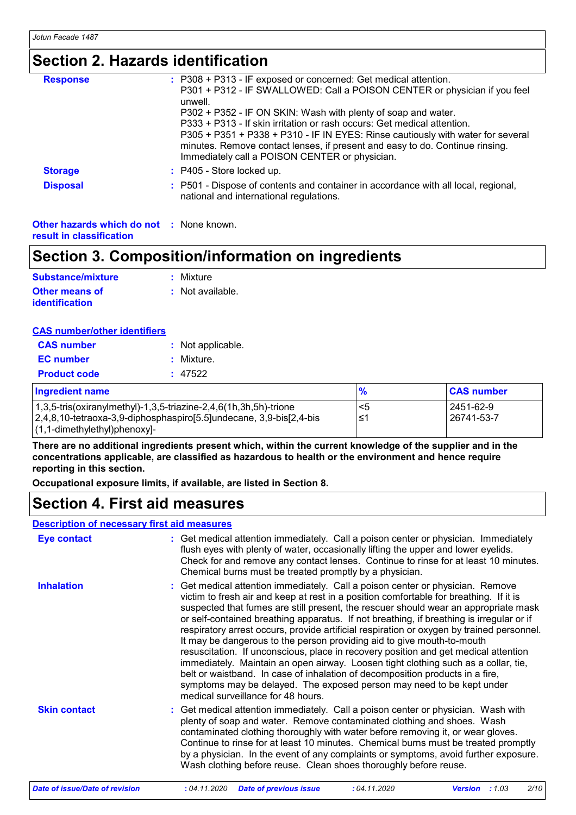### **Section 2. Hazards identification**

| <b>Response</b> | : P308 + P313 - IF exposed or concerned: Get medical attention.                                                                                                                                                   |
|-----------------|-------------------------------------------------------------------------------------------------------------------------------------------------------------------------------------------------------------------|
|                 | P301 + P312 - IF SWALLOWED: Call a POISON CENTER or physician if you feel<br>unwell.                                                                                                                              |
|                 | P302 + P352 - IF ON SKIN: Wash with plenty of soap and water.                                                                                                                                                     |
|                 | P333 + P313 - If skin irritation or rash occurs: Get medical attention.                                                                                                                                           |
|                 | P305 + P351 + P338 + P310 - IF IN EYES: Rinse cautiously with water for several<br>minutes. Remove contact lenses, if present and easy to do. Continue rinsing.<br>Immediately call a POISON CENTER or physician. |
| <b>Storage</b>  | : P405 - Store locked up.                                                                                                                                                                                         |
| <b>Disposal</b> | : P501 - Dispose of contents and container in accordance with all local, regional,<br>national and international regulations.                                                                                     |
|                 |                                                                                                                                                                                                                   |

**Other hazards which do not :** None known. **result in classification**

### **Section 3. Composition/information on ingredients**

| Substance/mixture     | : Mixture        |
|-----------------------|------------------|
| <b>Other means of</b> | : Not available. |
| <b>identification</b> |                  |

| <b>CAS number/other identifiers</b> |
|-------------------------------------|
|-------------------------------------|

| <b>CAS number</b>   | : Not applicable. |
|---------------------|-------------------|
| <b>EC</b> number    | : Mixture.        |
| <b>Product code</b> | : 47522           |
|                     |                   |

| <b>Ingredient name</b>                                                                    |    | <b>CAS number</b> |
|-------------------------------------------------------------------------------------------|----|-------------------|
| $(1,3,5\text{-tris}(oxiranylmethyl)-1,3,5\text{-triazine-2},4,6(1h,3h,5h)\text{-trione})$ | <5 | 2451-62-9         |
| 2,4,8,10-tetraoxa-3,9-diphosphaspiro[5.5]undecane, 3,9-bis[2,4-bis]                       | ≤1 | 26741-53-7        |
| $(1, 1$ -dimethylethyl)phenoxy]-                                                          |    |                   |

**There are no additional ingredients present which, within the current knowledge of the supplier and in the concentrations applicable, are classified as hazardous to health or the environment and hence require reporting in this section.**

**Occupational exposure limits, if available, are listed in Section 8.**

### **Section 4. First aid measures**

#### **Description of necessary first aid measures**

| <b>Eye contact</b>  | : Get medical attention immediately. Call a poison center or physician. Immediately<br>flush eyes with plenty of water, occasionally lifting the upper and lower eyelids.<br>Check for and remove any contact lenses. Continue to rinse for at least 10 minutes.<br>Chemical burns must be treated promptly by a physician.                                                                                                                                                                                                                                                                                                                                                                                                                                                                                                                                                                                     |
|---------------------|-----------------------------------------------------------------------------------------------------------------------------------------------------------------------------------------------------------------------------------------------------------------------------------------------------------------------------------------------------------------------------------------------------------------------------------------------------------------------------------------------------------------------------------------------------------------------------------------------------------------------------------------------------------------------------------------------------------------------------------------------------------------------------------------------------------------------------------------------------------------------------------------------------------------|
| <b>Inhalation</b>   | : Get medical attention immediately. Call a poison center or physician. Remove<br>victim to fresh air and keep at rest in a position comfortable for breathing. If it is<br>suspected that fumes are still present, the rescuer should wear an appropriate mask<br>or self-contained breathing apparatus. If not breathing, if breathing is irregular or if<br>respiratory arrest occurs, provide artificial respiration or oxygen by trained personnel.<br>It may be dangerous to the person providing aid to give mouth-to-mouth<br>resuscitation. If unconscious, place in recovery position and get medical attention<br>immediately. Maintain an open airway. Loosen tight clothing such as a collar, tie,<br>belt or waistband. In case of inhalation of decomposition products in a fire,<br>symptoms may be delayed. The exposed person may need to be kept under<br>medical surveillance for 48 hours. |
| <b>Skin contact</b> | : Get medical attention immediately. Call a poison center or physician. Wash with<br>plenty of soap and water. Remove contaminated clothing and shoes. Wash<br>contaminated clothing thoroughly with water before removing it, or wear gloves.<br>Continue to rinse for at least 10 minutes. Chemical burns must be treated promptly<br>by a physician. In the event of any complaints or symptoms, avoid further exposure.<br>Wash clothing before reuse. Clean shoes thoroughly before reuse.                                                                                                                                                                                                                                                                                                                                                                                                                 |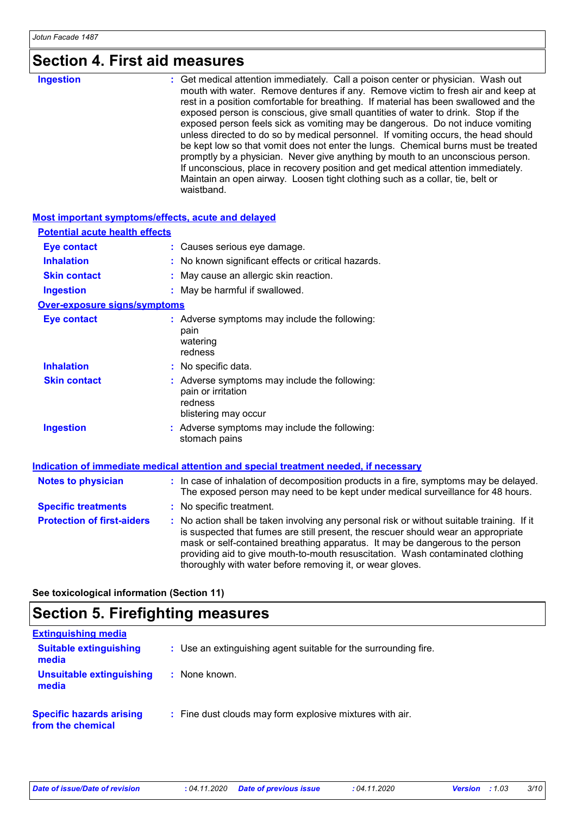# **Section 4. First aid measures**

| : Get medical attention immediately. Call a poison center or physician. Wash out<br>mouth with water. Remove dentures if any. Remove victim to fresh air and keep at<br>rest in a position comfortable for breathing. If material has been swallowed and the<br>exposed person is conscious, give small quantities of water to drink. Stop if the<br>exposed person feels sick as vomiting may be dangerous. Do not induce vomiting<br>unless directed to do so by medical personnel. If vomiting occurs, the head should<br>be kept low so that vomit does not enter the lungs. Chemical burns must be treated<br>promptly by a physician. Never give anything by mouth to an unconscious person.<br>If unconscious, place in recovery position and get medical attention immediately.<br>Maintain an open airway. Loosen tight clothing such as a collar, tie, belt or<br>waistband. |           |  |
|----------------------------------------------------------------------------------------------------------------------------------------------------------------------------------------------------------------------------------------------------------------------------------------------------------------------------------------------------------------------------------------------------------------------------------------------------------------------------------------------------------------------------------------------------------------------------------------------------------------------------------------------------------------------------------------------------------------------------------------------------------------------------------------------------------------------------------------------------------------------------------------|-----------|--|
|                                                                                                                                                                                                                                                                                                                                                                                                                                                                                                                                                                                                                                                                                                                                                                                                                                                                                        | Ingestion |  |

#### **Most important symptoms/effects, acute and delayed**

| <b>Potential acute health effects</b> |                                                                                                                                                                                                                                                                                                                                                                                                                 |
|---------------------------------------|-----------------------------------------------------------------------------------------------------------------------------------------------------------------------------------------------------------------------------------------------------------------------------------------------------------------------------------------------------------------------------------------------------------------|
| <b>Eye contact</b>                    | : Causes serious eye damage.                                                                                                                                                                                                                                                                                                                                                                                    |
| <b>Inhalation</b>                     | : No known significant effects or critical hazards.                                                                                                                                                                                                                                                                                                                                                             |
| <b>Skin contact</b>                   | : May cause an allergic skin reaction.                                                                                                                                                                                                                                                                                                                                                                          |
| <b>Ingestion</b>                      | : May be harmful if swallowed.                                                                                                                                                                                                                                                                                                                                                                                  |
| <b>Over-exposure signs/symptoms</b>   |                                                                                                                                                                                                                                                                                                                                                                                                                 |
| <b>Eye contact</b>                    | : Adverse symptoms may include the following:<br>pain<br>watering<br>redness                                                                                                                                                                                                                                                                                                                                    |
| <b>Inhalation</b>                     | : No specific data.                                                                                                                                                                                                                                                                                                                                                                                             |
| <b>Skin contact</b>                   | : Adverse symptoms may include the following:<br>pain or irritation<br>redness<br>blistering may occur                                                                                                                                                                                                                                                                                                          |
| <b>Ingestion</b>                      | : Adverse symptoms may include the following:<br>stomach pains                                                                                                                                                                                                                                                                                                                                                  |
|                                       | Indication of immediate medical attention and special treatment needed, if necessary                                                                                                                                                                                                                                                                                                                            |
| <b>Notes to physician</b>             | : In case of inhalation of decomposition products in a fire, symptoms may be delayed.<br>The exposed person may need to be kept under medical surveillance for 48 hours.                                                                                                                                                                                                                                        |
| <b>Specific treatments</b>            | : No specific treatment.                                                                                                                                                                                                                                                                                                                                                                                        |
| <b>Protection of first-aiders</b>     | : No action shall be taken involving any personal risk or without suitable training. If it<br>is suspected that fumes are still present, the rescuer should wear an appropriate<br>mask or self-contained breathing apparatus. It may be dangerous to the person<br>providing aid to give mouth-to-mouth resuscitation. Wash contaminated clothing<br>thoroughly with water before removing it, or wear gloves. |

**See toxicological information (Section 11)**

# **Section 5. Firefighting measures**

| <b>Extinguishing media</b>                           |                                                                 |
|------------------------------------------------------|-----------------------------------------------------------------|
| <b>Suitable extinguishing</b><br>media               | : Use an extinguishing agent suitable for the surrounding fire. |
| <b>Unsuitable extinguishing</b><br>media             | None known.                                                     |
| <b>Specific hazards arising</b><br>from the chemical | : Fine dust clouds may form explosive mixtures with air.        |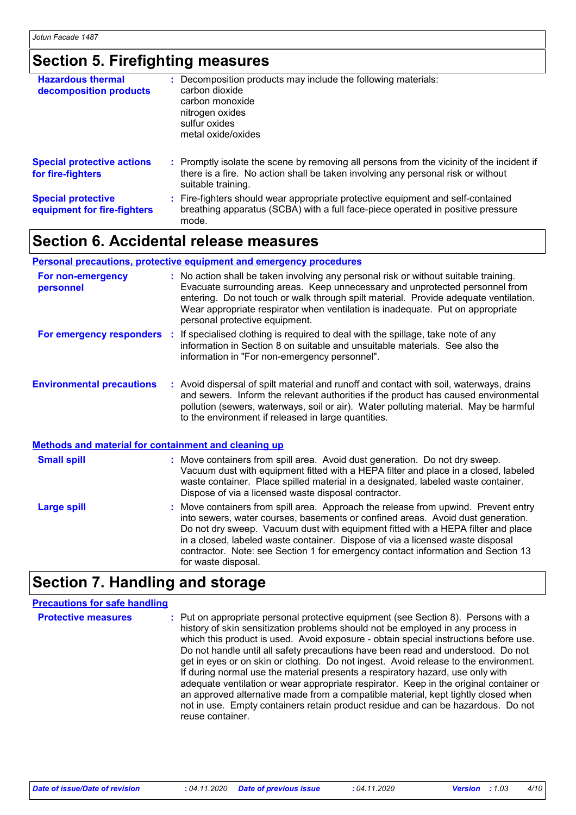## **Section 5. Firefighting measures**

| <b>Hazardous thermal</b><br>decomposition products       | : Decomposition products may include the following materials:<br>carbon dioxide<br>carbon monoxide<br>nitrogen oxides<br>sulfur oxides<br>metal oxide/oxides                                        |
|----------------------------------------------------------|-----------------------------------------------------------------------------------------------------------------------------------------------------------------------------------------------------|
| <b>Special protective actions</b><br>for fire-fighters   | : Promptly isolate the scene by removing all persons from the vicinity of the incident if<br>there is a fire. No action shall be taken involving any personal risk or without<br>suitable training. |
| <b>Special protective</b><br>equipment for fire-fighters | : Fire-fighters should wear appropriate protective equipment and self-contained<br>breathing apparatus (SCBA) with a full face-piece operated in positive pressure<br>mode.                         |

### **Section 6. Accidental release measures**

#### **Personal precautions, protective equipment and emergency procedures**

| For non-emergency<br>personnel                       | : No action shall be taken involving any personal risk or without suitable training.<br>Evacuate surrounding areas. Keep unnecessary and unprotected personnel from<br>entering. Do not touch or walk through spilt material. Provide adequate ventilation.<br>Wear appropriate respirator when ventilation is inadequate. Put on appropriate<br>personal protective equipment.                                                                        |
|------------------------------------------------------|--------------------------------------------------------------------------------------------------------------------------------------------------------------------------------------------------------------------------------------------------------------------------------------------------------------------------------------------------------------------------------------------------------------------------------------------------------|
|                                                      | For emergency responders : If specialised clothing is required to deal with the spillage, take note of any<br>information in Section 8 on suitable and unsuitable materials. See also the<br>information in "For non-emergency personnel".                                                                                                                                                                                                             |
| <b>Environmental precautions</b>                     | : Avoid dispersal of spilt material and runoff and contact with soil, waterways, drains<br>and sewers. Inform the relevant authorities if the product has caused environmental<br>pollution (sewers, waterways, soil or air). Water polluting material. May be harmful<br>to the environment if released in large quantities.                                                                                                                          |
| Methods and material for containment and cleaning up |                                                                                                                                                                                                                                                                                                                                                                                                                                                        |
| <b>Small spill</b>                                   | : Move containers from spill area. Avoid dust generation. Do not dry sweep.<br>Vacuum dust with equipment fitted with a HEPA filter and place in a closed, labeled<br>waste container. Place spilled material in a designated, labeled waste container.<br>Dispose of via a licensed waste disposal contractor.                                                                                                                                        |
| <b>Large spill</b>                                   | : Move containers from spill area. Approach the release from upwind. Prevent entry<br>into sewers, water courses, basements or confined areas. Avoid dust generation.<br>Do not dry sweep. Vacuum dust with equipment fitted with a HEPA filter and place<br>in a closed, labeled waste container. Dispose of via a licensed waste disposal<br>contractor. Note: see Section 1 for emergency contact information and Section 13<br>for waste disposal. |

# **Section 7. Handling and storage**

| <b>Precautions for safe handling</b> |                                                                                                                                                                                                                                                                                                                                                                                                                                                                                                                                                                                                                                                                                                                                                                                                                    |
|--------------------------------------|--------------------------------------------------------------------------------------------------------------------------------------------------------------------------------------------------------------------------------------------------------------------------------------------------------------------------------------------------------------------------------------------------------------------------------------------------------------------------------------------------------------------------------------------------------------------------------------------------------------------------------------------------------------------------------------------------------------------------------------------------------------------------------------------------------------------|
| <b>Protective measures</b>           | : Put on appropriate personal protective equipment (see Section 8). Persons with a<br>history of skin sensitization problems should not be employed in any process in<br>which this product is used. Avoid exposure - obtain special instructions before use.<br>Do not handle until all safety precautions have been read and understood. Do not<br>get in eyes or on skin or clothing. Do not ingest. Avoid release to the environment.<br>If during normal use the material presents a respiratory hazard, use only with<br>adequate ventilation or wear appropriate respirator. Keep in the original container or<br>an approved alternative made from a compatible material, kept tightly closed when<br>not in use. Empty containers retain product residue and can be hazardous. Do not<br>reuse container. |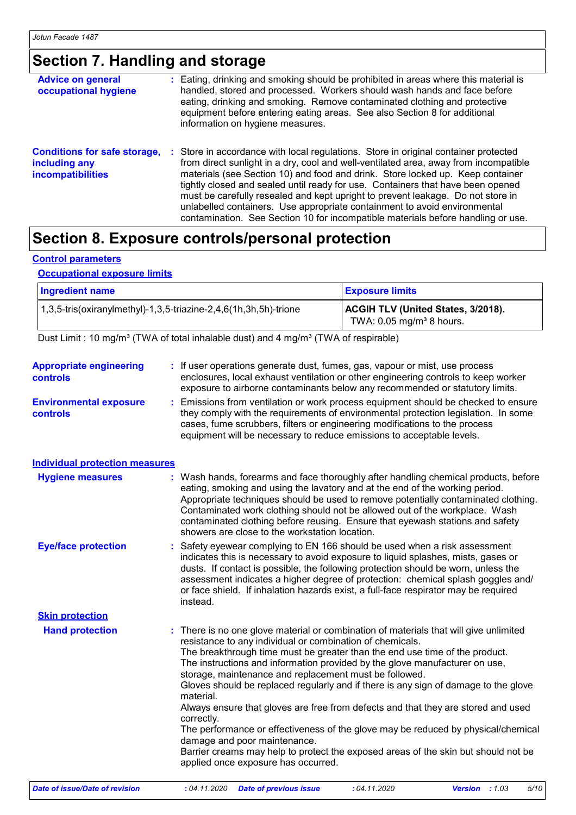# **Section 7. Handling and storage**

| <b>Advice on general</b><br>occupational hygiene                                 | : Eating, drinking and smoking should be prohibited in areas where this material is<br>handled, stored and processed. Workers should wash hands and face before<br>eating, drinking and smoking. Remove contaminated clothing and protective<br>equipment before entering eating areas. See also Section 8 for additional<br>information on hygiene measures.                                                                                                                                                                                                                                              |
|----------------------------------------------------------------------------------|------------------------------------------------------------------------------------------------------------------------------------------------------------------------------------------------------------------------------------------------------------------------------------------------------------------------------------------------------------------------------------------------------------------------------------------------------------------------------------------------------------------------------------------------------------------------------------------------------------|
| <b>Conditions for safe storage,</b><br>including any<br><b>incompatibilities</b> | Store in accordance with local regulations. Store in original container protected<br>- 11<br>from direct sunlight in a dry, cool and well-ventilated area, away from incompatible<br>materials (see Section 10) and food and drink. Store locked up. Keep container<br>tightly closed and sealed until ready for use. Containers that have been opened<br>must be carefully resealed and kept upright to prevent leakage. Do not store in<br>unlabelled containers. Use appropriate containment to avoid environmental<br>contamination. See Section 10 for incompatible materials before handling or use. |

### **Section 8. Exposure controls/personal protection**

#### **Control parameters**

#### **Occupational exposure limits**

| <b>Ingredient name</b>                                                      | <b>Exposure limits</b>                                                       |
|-----------------------------------------------------------------------------|------------------------------------------------------------------------------|
| $(1,3,5\text{-}$ tris(oxiranylmethyl)-1,3,5-triazine-2,4,6(1h,3h,5h)-trione | ACGIH TLV (United States, 3/2018).<br>TWA: $0.05$ mg/m <sup>3</sup> 8 hours. |

Dust Limit : 10 mg/m<sup>3</sup> (TWA of total inhalable dust) and 4 mg/m<sup>3</sup> (TWA of respirable)

| <b>Appropriate engineering</b><br>controls | : If user operations generate dust, fumes, gas, vapour or mist, use process<br>enclosures, local exhaust ventilation or other engineering controls to keep worker                                                                                                                                                                                                                                                                                                                                                                                                                                                                                                                                                                                                                                                                 |
|--------------------------------------------|-----------------------------------------------------------------------------------------------------------------------------------------------------------------------------------------------------------------------------------------------------------------------------------------------------------------------------------------------------------------------------------------------------------------------------------------------------------------------------------------------------------------------------------------------------------------------------------------------------------------------------------------------------------------------------------------------------------------------------------------------------------------------------------------------------------------------------------|
| <b>Environmental exposure</b><br>controls  | exposure to airborne contaminants below any recommended or statutory limits.<br>Emissions from ventilation or work process equipment should be checked to ensure<br>they comply with the requirements of environmental protection legislation. In some<br>cases, fume scrubbers, filters or engineering modifications to the process<br>equipment will be necessary to reduce emissions to acceptable levels.                                                                                                                                                                                                                                                                                                                                                                                                                     |
| <b>Individual protection measures</b>      |                                                                                                                                                                                                                                                                                                                                                                                                                                                                                                                                                                                                                                                                                                                                                                                                                                   |
| <b>Hygiene measures</b>                    | : Wash hands, forearms and face thoroughly after handling chemical products, before<br>eating, smoking and using the lavatory and at the end of the working period.<br>Appropriate techniques should be used to remove potentially contaminated clothing.<br>Contaminated work clothing should not be allowed out of the workplace. Wash<br>contaminated clothing before reusing. Ensure that eyewash stations and safety<br>showers are close to the workstation location.                                                                                                                                                                                                                                                                                                                                                       |
| <b>Eye/face protection</b>                 | Safety eyewear complying to EN 166 should be used when a risk assessment<br>indicates this is necessary to avoid exposure to liquid splashes, mists, gases or<br>dusts. If contact is possible, the following protection should be worn, unless the<br>assessment indicates a higher degree of protection: chemical splash goggles and/<br>or face shield. If inhalation hazards exist, a full-face respirator may be required<br>instead.                                                                                                                                                                                                                                                                                                                                                                                        |
| <b>Skin protection</b>                     |                                                                                                                                                                                                                                                                                                                                                                                                                                                                                                                                                                                                                                                                                                                                                                                                                                   |
| <b>Hand protection</b>                     | There is no one glove material or combination of materials that will give unlimited<br>resistance to any individual or combination of chemicals.<br>The breakthrough time must be greater than the end use time of the product.<br>The instructions and information provided by the glove manufacturer on use,<br>storage, maintenance and replacement must be followed.<br>Gloves should be replaced regularly and if there is any sign of damage to the glove<br>material.<br>Always ensure that gloves are free from defects and that they are stored and used<br>correctly.<br>The performance or effectiveness of the glove may be reduced by physical/chemical<br>damage and poor maintenance.<br>Barrier creams may help to protect the exposed areas of the skin but should not be<br>applied once exposure has occurred. |
| Date of issue/Date of revision             | : 04.11.2020<br>: 04.11.2020<br>5/10<br><b>Date of previous issue</b><br><b>Version</b> : $1.03$                                                                                                                                                                                                                                                                                                                                                                                                                                                                                                                                                                                                                                                                                                                                  |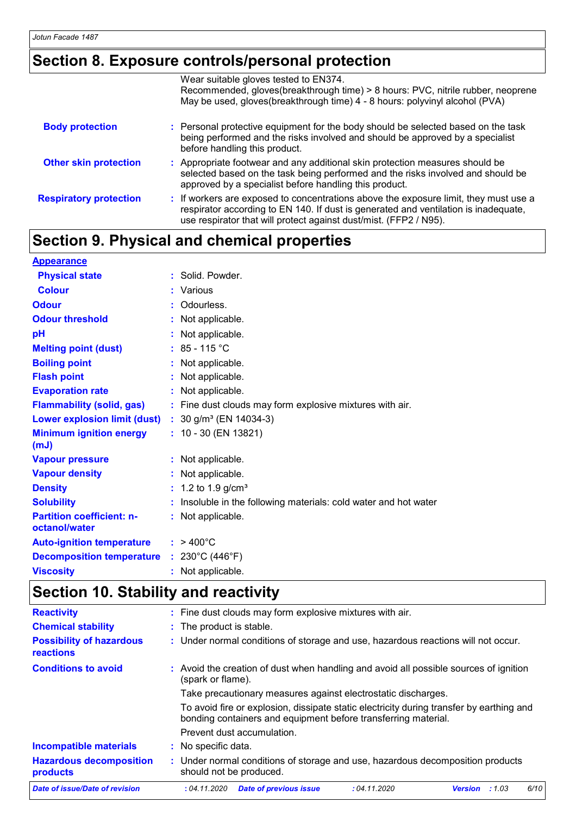## **Section 8. Exposure controls/personal protection**

|                               | Wear suitable gloves tested to EN374.<br>Recommended, gloves(breakthrough time) > 8 hours: PVC, nitrile rubber, neoprene<br>May be used, gloves(breakthrough time) 4 - 8 hours: polyvinyl alcohol (PVA)                                          |
|-------------------------------|--------------------------------------------------------------------------------------------------------------------------------------------------------------------------------------------------------------------------------------------------|
| <b>Body protection</b>        | : Personal protective equipment for the body should be selected based on the task<br>being performed and the risks involved and should be approved by a specialist<br>before handling this product.                                              |
| <b>Other skin protection</b>  | : Appropriate footwear and any additional skin protection measures should be<br>selected based on the task being performed and the risks involved and should be<br>approved by a specialist before handling this product.                        |
| <b>Respiratory protection</b> | : If workers are exposed to concentrations above the exposure limit, they must use a<br>respirator according to EN 140. If dust is generated and ventilation is inadequate,<br>use respirator that will protect against dust/mist. (FFP2 / N95). |

## **Section 9. Physical and chemical properties**

| <b>Appearance</b>                                 |    |                                                                |
|---------------------------------------------------|----|----------------------------------------------------------------|
| <b>Physical state</b>                             |    | : Solid. Powder.                                               |
| <b>Colour</b>                                     | ÷. | Various                                                        |
| <b>Odour</b>                                      |    | Odourless.                                                     |
| <b>Odour threshold</b>                            |    | : Not applicable.                                              |
| рH                                                |    | Not applicable.                                                |
| <b>Melting point (dust)</b>                       |    | $: 85 - 115 °C$                                                |
| <b>Boiling point</b>                              |    | Not applicable.                                                |
| <b>Flash point</b>                                |    | Not applicable.                                                |
| <b>Evaporation rate</b>                           |    | Not applicable.                                                |
| <b>Flammability (solid, gas)</b>                  |    | : Fine dust clouds may form explosive mixtures with air.       |
| <b>Lower explosion limit (dust)</b>               |    | : $30$ g/m <sup>3</sup> (EN 14034-3)                           |
| <b>Minimum ignition energy</b><br>(mJ)            |    | $: 10 - 30$ (EN 13821)                                         |
| <b>Vapour pressure</b>                            |    | : Not applicable.                                              |
| <b>Vapour density</b>                             |    | Not applicable.                                                |
| <b>Density</b>                                    |    | 1.2 to 1.9 $g/cm^{3}$                                          |
| <b>Solubility</b>                                 |    | Insoluble in the following materials: cold water and hot water |
| <b>Partition coefficient: n-</b><br>octanol/water |    | : Not applicable.                                              |
| <b>Auto-ignition temperature</b>                  |    | $: 9400^{\circ}$ C                                             |
| <b>Decomposition temperature</b>                  |    | : $230^{\circ}$ C (446 $^{\circ}$ F)                           |
| <b>Viscosity</b>                                  |    | : Not applicable.                                              |

# **Section 10. Stability and reactivity**

| <b>Reactivity</b>                            | : Fine dust clouds may form explosive mixtures with air.                                                                                                   |  |  |  |  |
|----------------------------------------------|------------------------------------------------------------------------------------------------------------------------------------------------------------|--|--|--|--|
| <b>Chemical stability</b>                    | : The product is stable.                                                                                                                                   |  |  |  |  |
| <b>Possibility of hazardous</b><br>reactions | : Under normal conditions of storage and use, hazardous reactions will not occur.                                                                          |  |  |  |  |
| <b>Conditions to avoid</b>                   | : Avoid the creation of dust when handling and avoid all possible sources of ignition<br>(spark or flame).                                                 |  |  |  |  |
|                                              | Take precautionary measures against electrostatic discharges.                                                                                              |  |  |  |  |
|                                              | To avoid fire or explosion, dissipate static electricity during transfer by earthing and<br>bonding containers and equipment before transferring material. |  |  |  |  |
|                                              | Prevent dust accumulation.                                                                                                                                 |  |  |  |  |
| <b>Incompatible materials</b>                | : No specific data.                                                                                                                                        |  |  |  |  |
| <b>Hazardous decomposition</b><br>products   | : Under normal conditions of storage and use, hazardous decomposition products<br>should not be produced.                                                  |  |  |  |  |
| Date of issue/Date of revision               | <b>Date of previous issue</b><br>6/10<br>:04.11.2020<br>: 04.11.2020<br><b>Version</b><br>:1.03                                                            |  |  |  |  |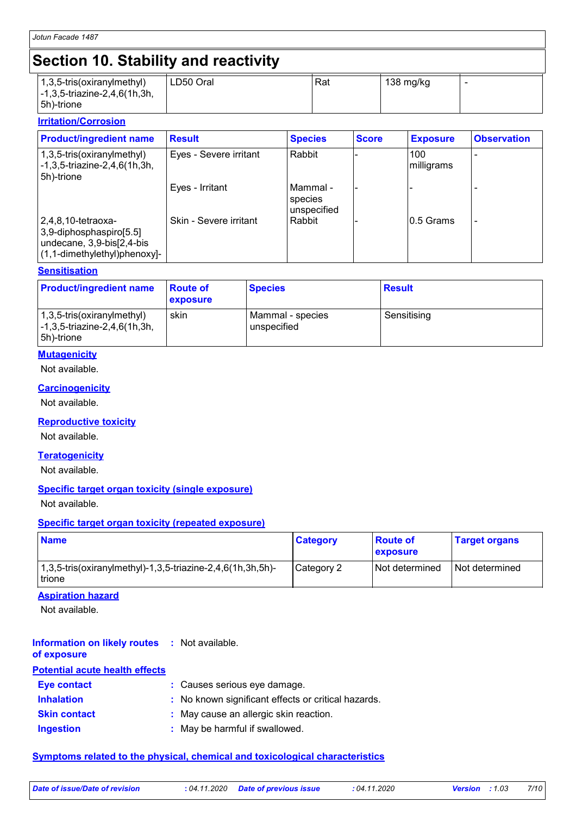# **Section 10. Stability and reactivity**

| $(1,3,5\text{-tris}(\text{oxirany}(\text{method})))$<br>$\left[-1, 3, 5\right]$ -triazine-2,4,6(1h,3h,<br>$ 5h)$ -trione | LD50 Oral | Rat | 138 mg/kg | - |
|--------------------------------------------------------------------------------------------------------------------------|-----------|-----|-----------|---|

#### **Irritation/Corrosion**

| <b>Product/ingredient name</b>                                                                                  | <b>Result</b>          | <b>Species</b>                       | <b>Score</b> | <b>Exposure</b>   | <b>Observation</b> |
|-----------------------------------------------------------------------------------------------------------------|------------------------|--------------------------------------|--------------|-------------------|--------------------|
| $(1,3,5\text{-tris}(oxiranylmethyl))$<br>$\left[-1, 3, 5\right]$ -triazine-2,4,6(1h,3h,<br>5h)-trione           | Eyes - Severe irritant | Rabbit                               |              | 100<br>milligrams |                    |
|                                                                                                                 | Eyes - Irritant        | l Mammal -<br>species<br>unspecified |              |                   |                    |
| 2,4,8,10-tetraoxa-<br>3,9-diphosphaspiro[5.5]<br>undecane, 3,9-bis[2,4-bis]<br>$(1, 1$ -dimethylethyl)phenoxy]- | Skin - Severe irritant | Rabbit                               |              | 10.5 Grams        |                    |

#### **Sensitisation**

| <b>Product/ingredient name</b>                                           | <b>Route of</b><br><b>exposure</b> | <b>Species</b>                  | <b>Result</b> |
|--------------------------------------------------------------------------|------------------------------------|---------------------------------|---------------|
| 1,3,5-tris(oxiranylmethyl)<br>-1,3,5-triazine-2,4,6(1h,3h,<br>5h)-trione | skin                               | Mammal - species<br>unspecified | Sensitising   |

#### **Mutagenicity**

Not available.

#### **Carcinogenicity**

Not available.

#### **Reproductive toxicity**

Not available.

#### **Teratogenicity**

Not available.

#### **Specific target organ toxicity (single exposure)**

Not available.

#### **Specific target organ toxicity (repeated exposure)**

| <b>Name</b>                                                             | <b>Category</b> | <b>Boute of</b><br><b>Exposure</b> | <b>Target organs</b> |
|-------------------------------------------------------------------------|-----------------|------------------------------------|----------------------|
| $1,3,5$ -tris(oxiranylmethyl)-1,3,5-triazine-2,4,6(1h,3h,5h)-<br>trione | Category 2      | Not determined                     | l Not determined     |

#### **Aspiration hazard**

Not available.

#### **Information on likely routes :** Not available. **of exposure**

| <b>Potential acute health effects</b> |                                                     |
|---------------------------------------|-----------------------------------------------------|
| <b>Eye contact</b>                    | : Causes serious eye damage.                        |
| <b>Inhalation</b>                     | : No known significant effects or critical hazards. |
| <b>Skin contact</b>                   | : May cause an allergic skin reaction.              |
| <b>Ingestion</b>                      | : May be harmful if swallowed.                      |

#### **Symptoms related to the physical, chemical and toxicological characteristics**

| Date of issue/Date of revision | : 04.11.2020 Date of previous issue | :04.11.202 |
|--------------------------------|-------------------------------------|------------|
|                                |                                     |            |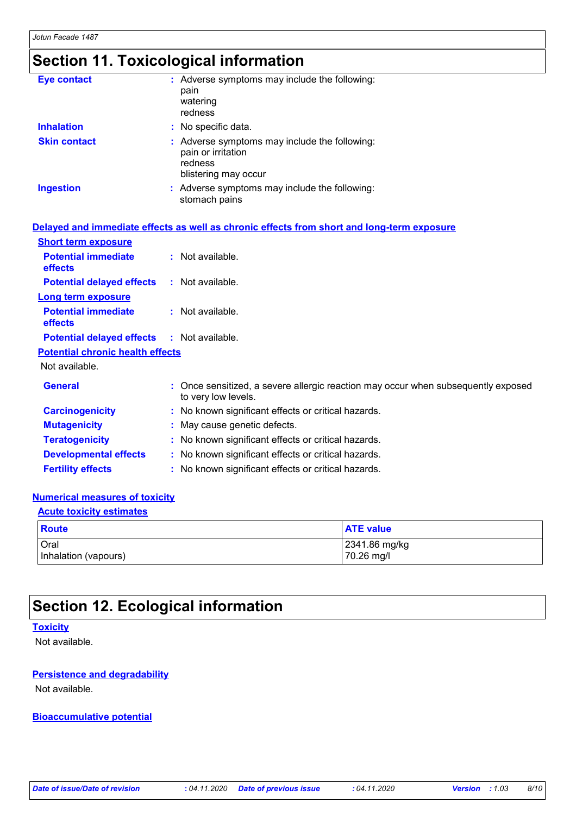# **Section 11. Toxicological information**

| <b>Eye contact</b>  | : Adverse symptoms may include the following:<br>pain<br>watering<br>redness                           |
|---------------------|--------------------------------------------------------------------------------------------------------|
| <b>Inhalation</b>   | : No specific data.                                                                                    |
| <b>Skin contact</b> | : Adverse symptoms may include the following:<br>pain or irritation<br>redness<br>blistering may occur |
| <b>Ingestion</b>    | : Adverse symptoms may include the following:<br>stomach pains                                         |

|                                                   | Delayed and immediate effects as well as chronic effects from short and long-term exposure               |
|---------------------------------------------------|----------------------------------------------------------------------------------------------------------|
| <b>Short term exposure</b>                        |                                                                                                          |
| <b>Potential immediate</b><br><b>effects</b>      | $:$ Not available.                                                                                       |
| <b>Potential delayed effects</b>                  | : Not available.                                                                                         |
| <b>Long term exposure</b>                         |                                                                                                          |
| <b>Potential immediate</b><br><b>effects</b>      | : Not available.                                                                                         |
| <b>Potential delayed effects : Not available.</b> |                                                                                                          |
| <b>Potential chronic health effects</b>           |                                                                                                          |
| Not available.                                    |                                                                                                          |
| <b>General</b>                                    | : Once sensitized, a severe allergic reaction may occur when subsequently exposed<br>to very low levels. |
| <b>Carcinogenicity</b>                            | : No known significant effects or critical hazards.                                                      |
| <b>Mutagenicity</b>                               | : May cause genetic defects.                                                                             |
| <b>Teratogenicity</b>                             | : No known significant effects or critical hazards.                                                      |
| <b>Developmental effects</b>                      | : No known significant effects or critical hazards.                                                      |
| <b>Fertility effects</b>                          | : No known significant effects or critical hazards.                                                      |

#### **Numerical measures of toxicity**

### **Acute toxicity estimates**

| <b>Route</b>         | <b>ATE value</b> |
|----------------------|------------------|
| Oral                 | 2341.86 mg/kg    |
| Inhalation (vapours) | 70.26 mg/l       |

### **Section 12. Ecological information**

#### **Toxicity**

Not available.

#### **Persistence and degradability**

Not available.

#### **Bioaccumulative potential**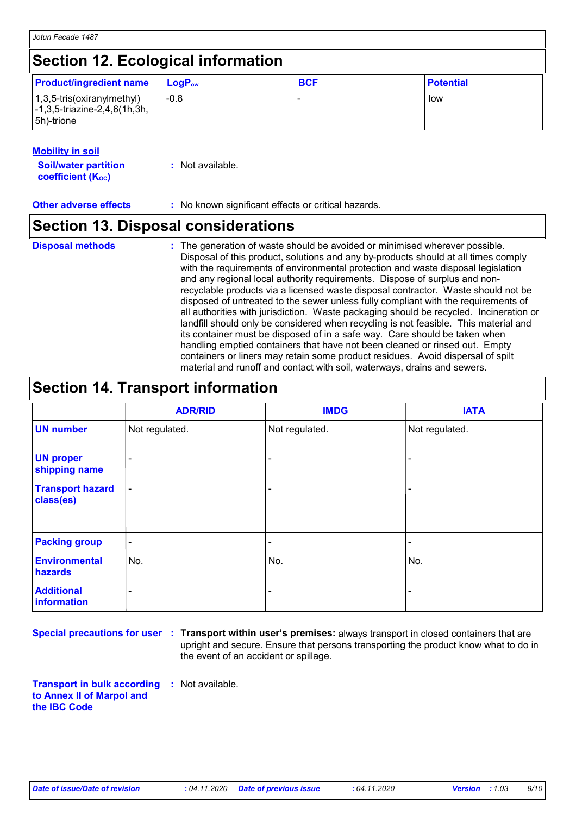### **Section 12. Ecological information**

| <b>Product/ingredient name</b>                                                                            | $\mathsf{LocP}_\mathsf{ow}$ | <b>BCF</b> | <b>Potential</b> |
|-----------------------------------------------------------------------------------------------------------|-----------------------------|------------|------------------|
| $(1,3,5\text{-tris}(oxiranylmethyl))$<br>$\left[-1, 3, 5\right]$ -triazine-2,4,6(1h,3h,<br>$ 5h)$ -trione | $-0.8$                      |            | low              |

#### **Mobility in soil**

| <b>Soil/water partition</b> | : Not available. |  |  |
|-----------------------------|------------------|--|--|
| <b>coefficient (Koc)</b>    |                  |  |  |

**Other adverse effects** : No known significant effects or critical hazards.

### **Section 13. Disposal considerations**

#### The generation of waste should be avoided or minimised wherever possible. Disposal of this product, solutions and any by-products should at all times comply with the requirements of environmental protection and waste disposal legislation and any regional local authority requirements. Dispose of surplus and nonrecyclable products via a licensed waste disposal contractor. Waste should not be disposed of untreated to the sewer unless fully compliant with the requirements of all authorities with jurisdiction. Waste packaging should be recycled. Incineration or landfill should only be considered when recycling is not feasible. This material and its container must be disposed of in a safe way. Care should be taken when handling emptied containers that have not been cleaned or rinsed out. Empty containers or liners may retain some product residues. Avoid dispersal of spilt material and runoff and contact with soil, waterways, drains and sewers. **Disposal methods :**

## **Section 14. Transport information**

|                                      | <b>ADR/RID</b>           | <b>IMDG</b>              | <b>IATA</b>    |
|--------------------------------------|--------------------------|--------------------------|----------------|
| <b>UN number</b>                     | Not regulated.           | Not regulated.           | Not regulated. |
| <b>UN proper</b><br>shipping name    | $\overline{\phantom{a}}$ | $\overline{\phantom{a}}$ | ۰              |
| <b>Transport hazard</b><br>class(es) | $\blacksquare$           | $\blacksquare$           | ۰              |
| <b>Packing group</b>                 | $\blacksquare$           | $\blacksquare$           | $\blacksquare$ |
| <b>Environmental</b><br>hazards      | No.                      | No.                      | No.            |
| <b>Additional</b><br>information     | ۰                        |                          | ٠              |

**Special precautions for user Transport within user's premises:** always transport in closed containers that are **:** upright and secure. Ensure that persons transporting the product know what to do in the event of an accident or spillage.

**Transport in bulk according :** Not available. **to Annex II of Marpol and the IBC Code**